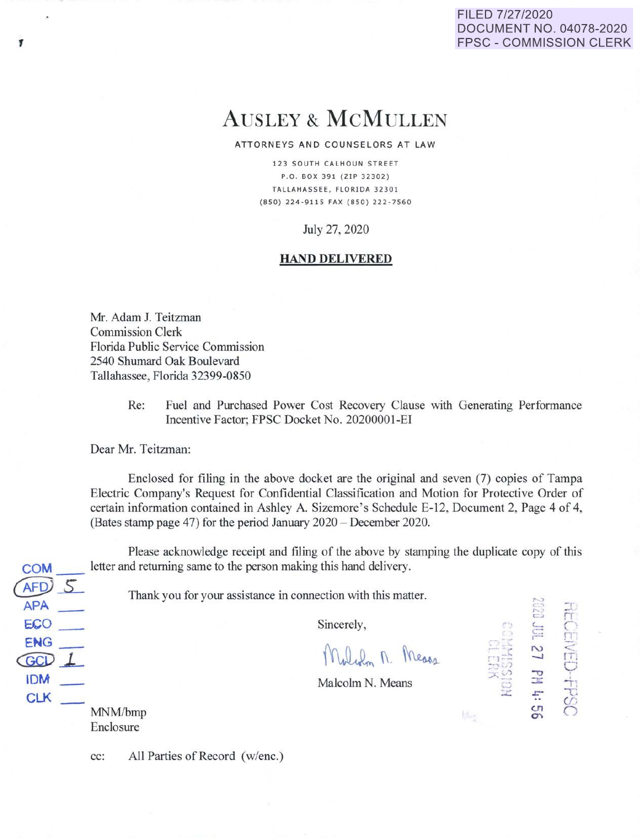# FILED 7/27/2020 DOCUMENT NO. 04078-2020 FPSC - COMMISSION CLERK

# AUSLEY & McMULLEN

#### ATTORNEYS AND COUNSELORS AT LAW

123 SOUTH CALHOUN STREET P. O. BOX 391 ( ZIP 32302 ) TALLAHASSEE, FLORIDA 32301 (850) 224-9115 FAX (850) 222-7560

July 27, 2020

# **HAND DELIVERED**

Mr. Adam J. Teitzman Commission Clerk Florida Public Service Commission 2540 Shumard Oak Boulevard Tallahassee, Florida 32399-0850

> Re: Fuel and Purchased Power Cost Recovery Clause with Generating Performance Incentive Factor; FPSC Docket No. 20200001-EI

Dear Mr. Teitzman:

Enclosed for filing in the above docket are the original and seven (7) copies of Tampa Electric Company's Request for Confidential Classification and Motion for Protective Order of certain information contained in Ashley A. Sizemore 's Schedule E-12, Document 2, Page 4 of 4, (Bates stamp page 47) for the period January 2020 - December 2020.

Please acknowledge receipt and filing of the above by stamping the duplicate copy of this **COM** letter and returning same to the person making this hand delivery.

Thank you for your assistance in connection with this matter.

Sincerely,

Moliam M. Messes

:- 13<br>SHK<br>SHK

 $\approx$  $\overline{\mathcal{L}}$  rr  $\frac{1}{1}$ 

 $\sim$ 

**c.n**   $\mathbf{O}$ 

 $~\tilde{}~$  $\mathbb{R}$  is . ) .......

**Littles** 

Malcolm N. Means

MNM/bmp Enclosure

*~f.9i\_s\_* 

ECO\_ **ENG\_**  (OO)\_L **IDM**  CLK

**APA\_** 

cc: All Parties of Record (w/enc.)

,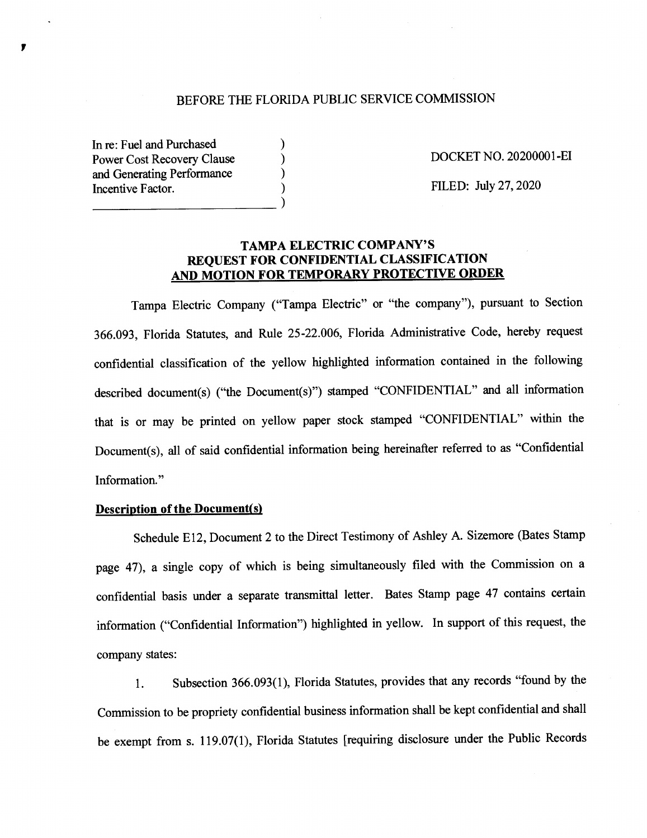### BEFORE THE FLORIDA PUBLIC SERVICE COMMISSION

) ) ) )

In re: Fuel and Purchased Power Cost Recovery Clause and Generating Performance Incentive Factor.  $\Box$ 

DOCKET NO. 20200001-EI

FILED: July 27, 2020

# **TAMPA ELECTRIC COMP ANY'S REQUEST FOR CONFIDENTIAL CLASSIFICATION AND MOTION FOR TEMPORARY PROTECTIVE ORDER**

Tampa Electric Company ("Tampa Electric" or "the company"), pursuant to Section 366.093, Florida Statutes, and Rule 25-22.006, Florida Administrative Code, hereby request confidential classification of the yellow highlighted information contained in the following described document(s) ("the Document(s)") stamped "CONFIDENTIAL" and all information that is or may be printed on yellow paper stock stamped "CONFIDENTIAL" within the Document(s), all of said confidential information being hereinafter referred to as "Confidential Information."

#### **Description of the Document(s)**

Schedule E12, Document 2 to the Direct Testimony of Ashley A. Sizemore (Bates Stamp page 47), a single copy of which is being simultaneously filed with the Commission on <sup>a</sup> confidential basis under a separate transmittal letter. Bates Stamp page 47 contains certain information ("Confidential Information") highlighted in yellow. In support of this request, the company states:

1. Subsection 366.093(1), Florida Statutes, provides that any records "found by the Commission to be propriety confidential business information shall be kept confidential and shall be exempt from s. 119.07(1), Florida Statutes [requiring disclosure under the Public Records

,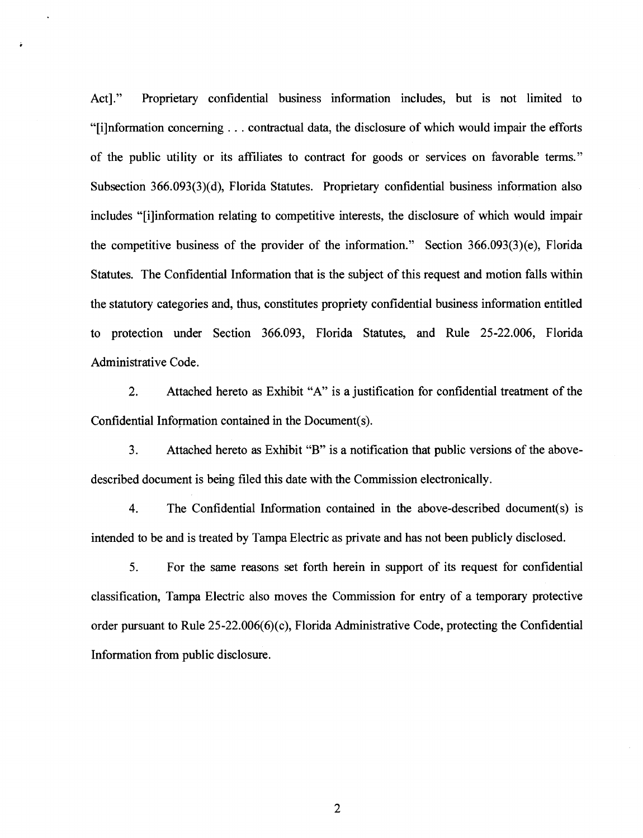Act]." Proprietary confidential business information includes, but is not limited to "[i]nformation concerning ... contractual data, the disclosure of which would impair the efforts of the public utility or its affiliates to contract for goods or services on favorable terms." Subsection 366.093(3)(d), Florida Statutes. Proprietary confidential business information also includes "[i]information relating to competitive interests, the disclosure of which would impair the competitive business of the provider of the information." Section 366.093(3)(e), Florida Statutes. The Confidential Information that is the subject of this request and motion falls within the statutory categories and, thus, constitutes propriety confidential business information entitled to protection under Section 366.093, Florida Statutes, and Rule 25-22.006, Florida Administrative Code.

2. Attached hereto as Exhibit "A" is a justification for confidential treatment of the Confidential Information contained in the Document(s).

3. Attached hereto as Exhibit "B'' is a notification that public versions of the abovedescribed document is being filed this date with the Commission electronically.

4. The Confidential Information contained in the above-described document(s) is intended to be and is treated by Tampa Electric as private and has not been publicly disclosed.

5. For the same reasons set forth herein in support of its request for confidential classification, Tampa Electric also moves the Commission for entry of a temporary protective order pursuant to Rule 25-22.006(6)(c), Florida Administrative Code, protecting the Confidential Information from public disclosure.

2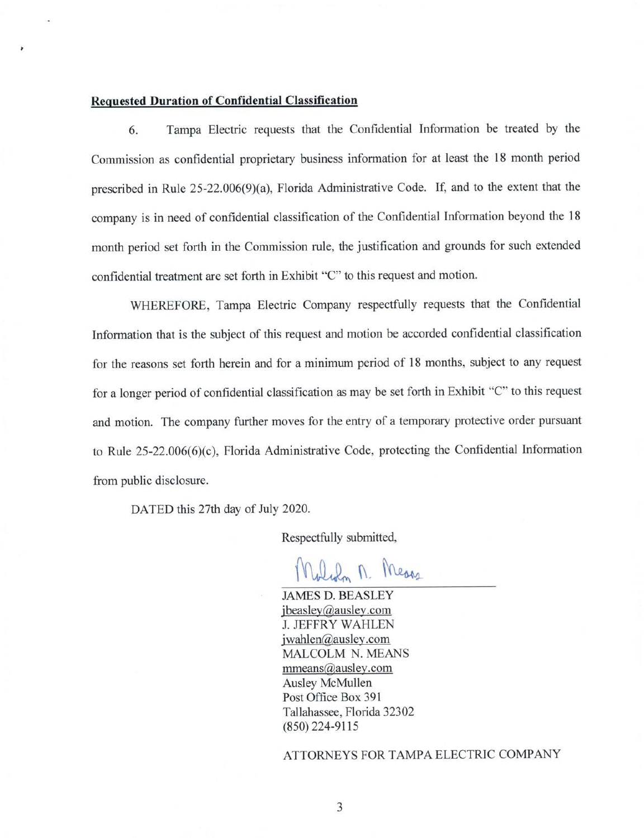## **Requested Duration of Confidential Classification**

6. Tampa Electric requests that the Confidential Information be treated by the Commission as confidential proprietary business information for at least the 18 month period prescribed in Rule 25-22.006(9)(a), Florida Administrative Code. If, and to the extent that the company is in need of confidential classification of the Confidential Information beyond the 18 month period set forth in the Commission rule, the justification and grounds for such extended confidential treatment are set forth in Exhibit "C" to this request and motion.

WHEREFORE, Tampa Electric Company respectfully requests that the Confidential Information that is the subject of this request and motion be accorded confidential classification for the reasons set forth herein and for a minimum period of 18 months, subject to any request for a longer period of confidential classification as may be set forth in Exhibit "C" to this request and motion. The company further moves for the entry of a temporary protective order pursuant to Rule 25-22.006(6)(c), Florida Administrative Code, protecting the Confidential Information from public disclosure.

DATED this 27th day of July 2020.

Respectfully submitted,

Malcolm M. Means

JAMES D. BEASLEY j beasley@ausley.com **J. JEFFRY WAHLEN** jwahlen@ausley.com MALCOLM N. MEANS mmeans@ausley.com Ausley McMullen Post Office Box 391 Tallahassee, Florida 32302 (850) 224-9115

ATTORNEYS FOR TAMPA ELECTRIC COMPANY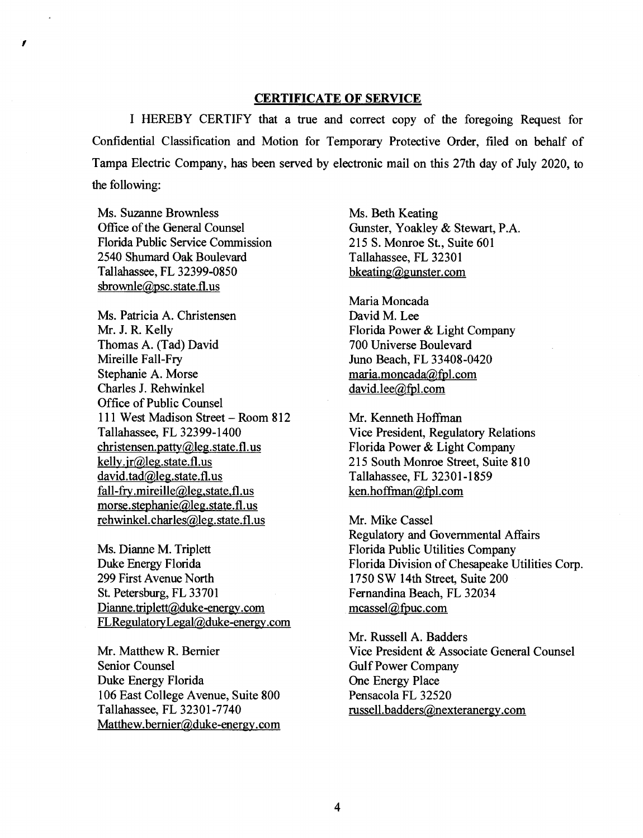#### **CERTIFICATE OF SERVICE**

I HEREBY CERTIFY that a true and correct copy of the foregoing Request for Confidential Classification and Motion for Temporary Protective Order, filed on behalf of Tampa Electric Company, has been served by electronic mail on this 27th day of July 2020, to the following:

Ms. Suzanne Brownless Office of the General Counsel Florida Public Service Commission 2540 Shumard Oak Boulevard Tallahassee, FL 32399-0850 sbrownle@psc.state.fl.us

*I* 

Ms. Patricia A. Christensen Mr. J. R. Kelly Thomas A. (Tad) David Mireille Fall-Fry Stephanie A. Morse Charles J. Rehwinkel Office of Public Counsel 111 West Madison Street - Room 812 Tallahassee, FL 32399-1400 christensen.patty@leg.state.fl.us kelly.jr@leg.state.fl.us david. tad@leg.state.fl.us fall-fry.mireille@leg,state,fl.us morse. stephanie@leg.state.fl.us rehwinkel. charles@leg. state.fl. us

Ms. Dianne M. Triplett Duke Energy Florida 299 First Avenue North St. Petersburg, FL 33701 Dianne.triplett@duke-energy.com FLRegulatoryLegal@duke-energy.com

Mr. Matthew R. Bernier Senior Counsel Duke Energy Florida 106 East College Avenue, Suite 800 Tallahassee, FL 32301-7740 Matthew.bemier@duke-energy.com Ms. Beth Keating Gunster, Yoakley & Stewart, P.A. 215 S. Monroe St., Suite 601 Tallahassee, FL 32301 bkeating@gunster.com

Maria Moncada David M. Lee Florida Power & Light Company 700 Universe Boulevard Juno Beach, FL 33408-0420 maria.moncada@fpl.com david.lee@fpl.com

Mr. Kenneth Hoffman Vice President, Regulatory Relations Florida Power & Light Company 215 South Monroe Street, Suite 810 Tallahassee, FL 32301-1859 ken.hoffman@fpl.com

Mr. Mike Cassel Regulatory and Governmental Affairs Florida Public Utilities Company Florida Division of Chesapeake Utilities Corp. 1750 SW 14th Street, Suite 200 Fernandina Beach, FL 32034 mcassel@fpuc.com

Mr. Russell A. Badders Vice President & Associate General Counsel Gulf Power Company One Energy Place Pensacola FL 32520 russell. badders@nexteranergy.com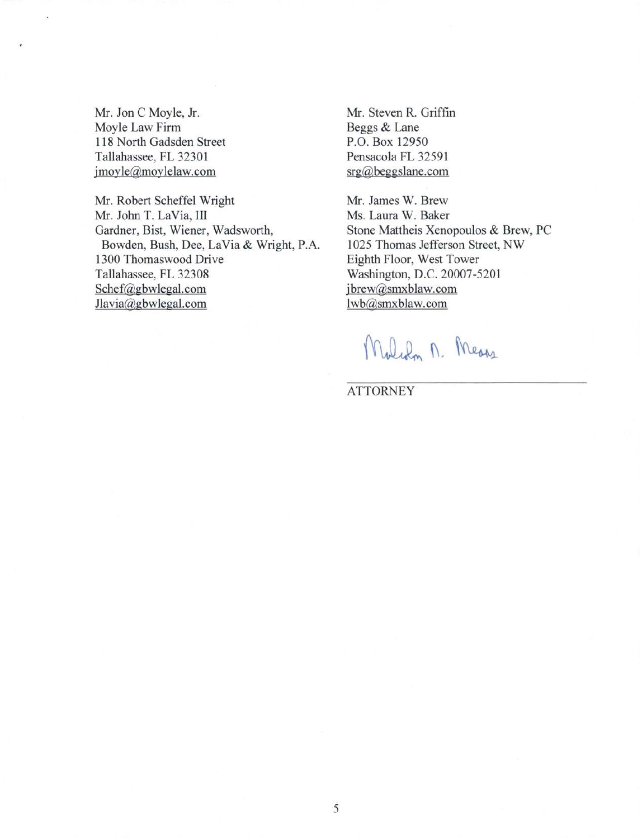Mr. Jon C Moyle, Jr. Moyle Law Firm 118 North Gadsden Street Tallahassee, FL 32301 jmoyle@moylelaw.com

Mr. Robert Scheffel Wright Mr. John T. La Via, Ill Gardner, Bist, Wiener, Wadsworth, Bowden, Bush, Dee, La Via & Wright, P.A. 1300 Thomaswood Drive Tallahassee, FL 32308 Schef@gbwlegal.com Jlavia@gbwlegal.com

Mr. Steven R. Griffin Beggs & Lane P.O. Box 12950 Pensacola FL 32591 srg@beggslane.com

Mr. James W. Brew Ms. Laura W. Baker Stone Mattheis Xenopoulos & Brew, PC 1025 Thomas Jefferson Street, NW Eighth Floor, West Tower Washington, D.C. 20007-5201 jbrew@smxblaw.com lwb@smxblaw.com

Malch n. Means

**ATTORNEY**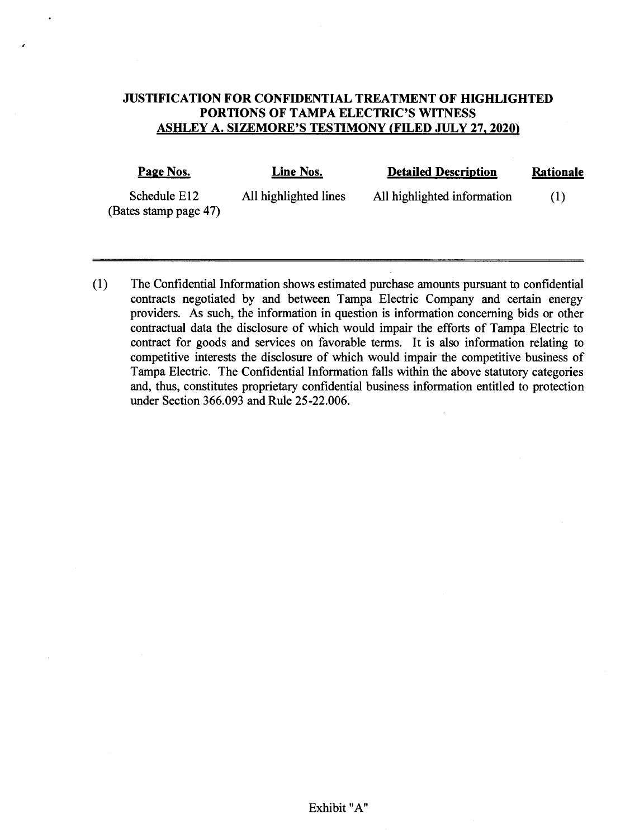# **JUSTIFICATION FOR CONFIDENTIAL TREATMENT OF HIGHLIGHTED PORTIONS OF TAMPA ELECTRIC'S WITNESS ASHLEY A. SIZEMORE'S TESTIMONY (FILED JULY 27, 2020)**

| Page Nos.                             | Line Nos.             | <b>Detailed Description</b> | Rationale |
|---------------------------------------|-----------------------|-----------------------------|-----------|
| Schedule E12<br>(Bates stamp page 47) | All highlighted lines | All highlighted information | (1)       |

( 1) The Confidential Information shows estimated purchase amounts pursuant to confidential contracts negotiated by and between Tampa Electric Company and certain energy providers. As such, the information in question is information concerning bids or other contractual data the disclosure of which would impair the efforts of Tampa Electric to contract for goods and services on favorable terms. It is also information relating to competitive interests the disclosure of which would impair the competitive business of Tampa Electric. The Confidential Information falls within the above statutory categories and, thus, constitutes proprietary confidential business information entitled to protection under Section 366.093 and Rule 25-22.006.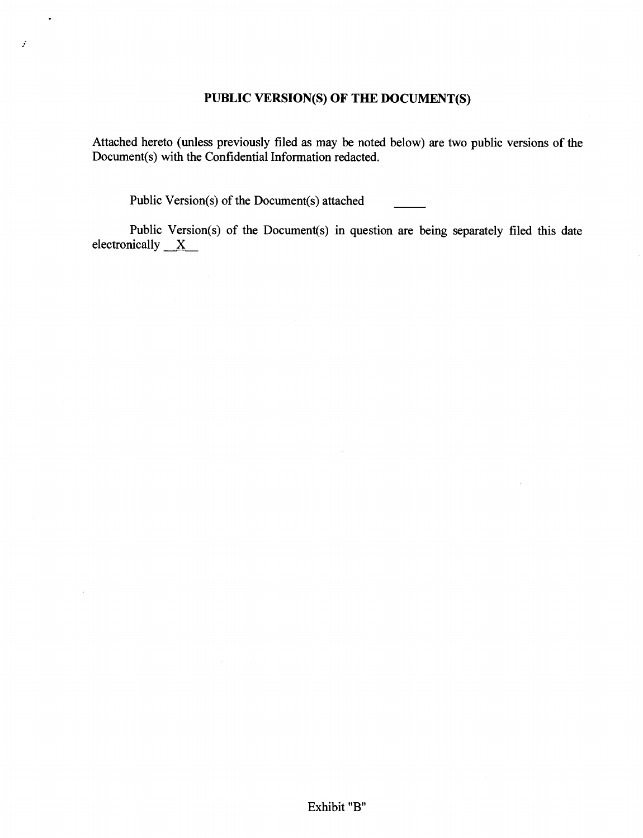# **PUBLIC VERSION(S) OF THE DOCUMENT(S)**

Attached hereto (unless previously filed as may be noted below) are two public versions of the Document(s) with the Confidential Information redacted.

Public Version(s) of the Document(s) attached

 $\mathcal{L}^{\text{max}}$ 

 $\bullet$ 

 $\bar{L}$ 

 $\vec{x}$ 

Public Version(s) of the Document(s) in question are being separately filed this date electronically  $X$